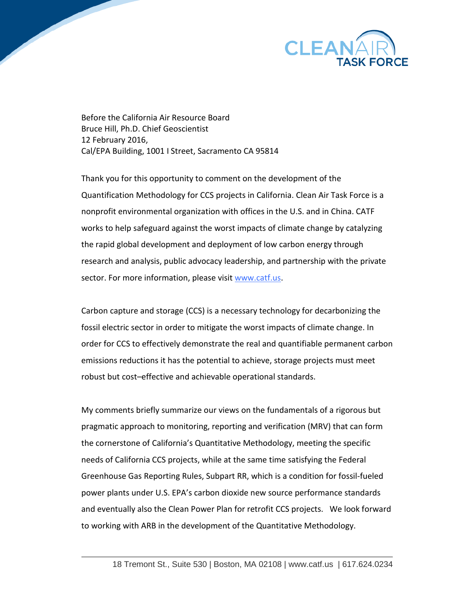

Before the California Air Resource Board Bruce Hill, Ph.D. Chief Geoscientist 12 February 2016, Cal/EPA Building, 1001 I Street, Sacramento CA 95814

Thank you for this opportunity to comment on the development of the Quantification Methodology for CCS projects in California. Clean Air Task Force is a nonprofit environmental organization with offices in the U.S. and in China. CATF works to help safeguard against the worst impacts of climate change by catalyzing the rapid global development and deployment of low carbon energy through research and analysis, public advocacy leadership, and partnership with the private sector. For more information, please visi[t www.catf.us.](http://www.catf.us/)

Carbon capture and storage (CCS) is a necessary technology for decarbonizing the fossil electric sector in order to mitigate the worst impacts of climate change. In order for CCS to effectively demonstrate the real and quantifiable permanent carbon emissions reductions it has the potential to achieve, storage projects must meet robust but cost–effective and achievable operational standards.

My comments briefly summarize our views on the fundamentals of a rigorous but pragmatic approach to monitoring, reporting and verification (MRV) that can form the cornerstone of California's Quantitative Methodology, meeting the specific needs of California CCS projects, while at the same time satisfying the Federal Greenhouse Gas Reporting Rules, Subpart RR, which is a condition for fossil-fueled power plants under U.S. EPA's carbon dioxide new source performance standards and eventually also the Clean Power Plan for retrofit CCS projects. We look forward to working with ARB in the development of the Quantitative Methodology.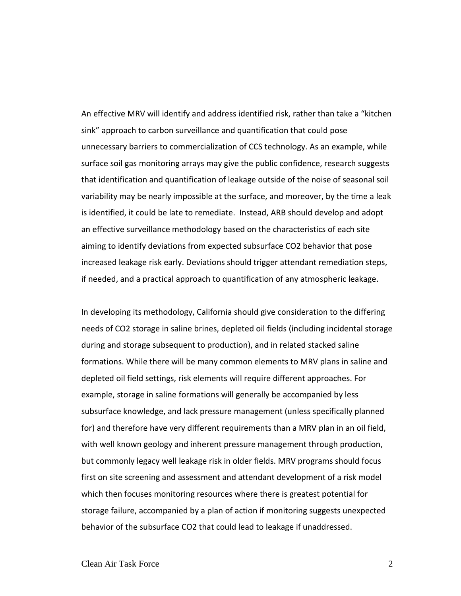An effective MRV will identify and address identified risk, rather than take a "kitchen sink" approach to carbon surveillance and quantification that could pose unnecessary barriers to commercialization of CCS technology. As an example, while surface soil gas monitoring arrays may give the public confidence, research suggests that identification and quantification of leakage outside of the noise of seasonal soil variability may be nearly impossible at the surface, and moreover, by the time a leak is identified, it could be late to remediate. Instead, ARB should develop and adopt an effective surveillance methodology based on the characteristics of each site aiming to identify deviations from expected subsurface CO2 behavior that pose increased leakage risk early. Deviations should trigger attendant remediation steps, if needed, and a practical approach to quantification of any atmospheric leakage.

In developing its methodology, California should give consideration to the differing needs of CO2 storage in saline brines, depleted oil fields (including incidental storage during and storage subsequent to production), and in related stacked saline formations. While there will be many common elements to MRV plans in saline and depleted oil field settings, risk elements will require different approaches. For example, storage in saline formations will generally be accompanied by less subsurface knowledge, and lack pressure management (unless specifically planned for) and therefore have very different requirements than a MRV plan in an oil field, with well known geology and inherent pressure management through production, but commonly legacy well leakage risk in older fields. MRV programs should focus first on site screening and assessment and attendant development of a risk model which then focuses monitoring resources where there is greatest potential for storage failure, accompanied by a plan of action if monitoring suggests unexpected behavior of the subsurface CO2 that could lead to leakage if unaddressed.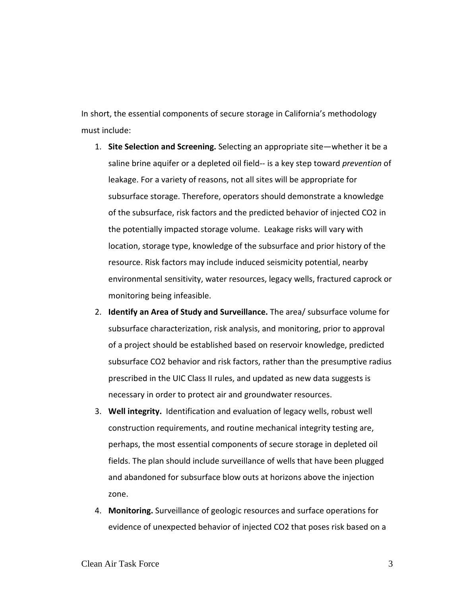In short, the essential components of secure storage in California's methodology must include:

- 1. **Site Selection and Screening.** Selecting an appropriate site—whether it be a saline brine aquifer or a depleted oil field-- is a key step toward *prevention* of leakage. For a variety of reasons, not all sites will be appropriate for subsurface storage. Therefore, operators should demonstrate a knowledge of the subsurface, risk factors and the predicted behavior of injected CO2 in the potentially impacted storage volume. Leakage risks will vary with location, storage type, knowledge of the subsurface and prior history of the resource. Risk factors may include induced seismicity potential, nearby environmental sensitivity, water resources, legacy wells, fractured caprock or monitoring being infeasible.
- 2. **Identify an Area of Study and Surveillance.** The area/ subsurface volume for subsurface characterization, risk analysis, and monitoring, prior to approval of a project should be established based on reservoir knowledge, predicted subsurface CO2 behavior and risk factors, rather than the presumptive radius prescribed in the UIC Class II rules, and updated as new data suggests is necessary in order to protect air and groundwater resources.
- 3. **Well integrity.** Identification and evaluation of legacy wells, robust well construction requirements, and routine mechanical integrity testing are, perhaps, the most essential components of secure storage in depleted oil fields. The plan should include surveillance of wells that have been plugged and abandoned for subsurface blow outs at horizons above the injection zone.
- 4. **Monitoring.** Surveillance of geologic resources and surface operations for evidence of unexpected behavior of injected CO2 that poses risk based on a